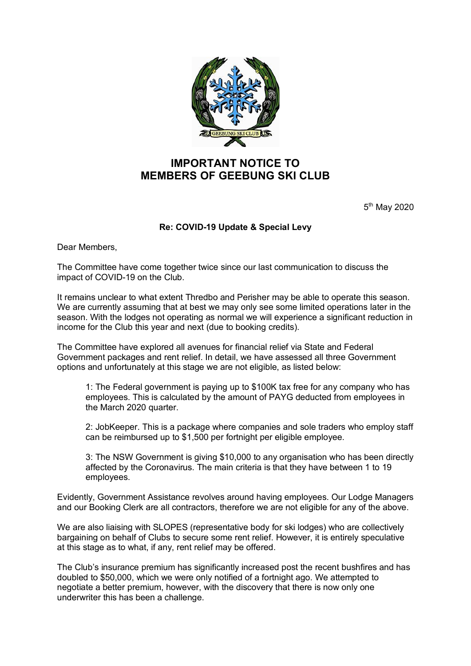

## **IMPORTANT NOTICE TO MEMBERS OF GEEBUNG SKI CLUB**

5<sup>th</sup> May 2020

## **Re: COVID-19 Update & Special Levy**

Dear Members,

The Committee have come together twice since our last communication to discuss the impact of COVID-19 on the Club.

It remains unclear to what extent Thredbo and Perisher may be able to operate this season. We are currently assuming that at best we may only see some limited operations later in the season. With the lodges not operating as normal we will experience a significant reduction in income for the Club this year and next (due to booking credits).

The Committee have explored all avenues for financial relief via State and Federal Government packages and rent relief. In detail, we have assessed all three Government options and unfortunately at this stage we are not eligible, as listed below:

1: The Federal government is paying up to \$100K tax free for any company who has employees. This is calculated by the amount of PAYG deducted from employees in the March 2020 quarter.

2: JobKeeper. This is a package where companies and sole traders who employ staff can be reimbursed up to \$1,500 per fortnight per eligible employee.

3: The NSW Government is giving \$10,000 to any organisation who has been directly affected by the Coronavirus. The main criteria is that they have between 1 to 19 employees.

Evidently, Government Assistance revolves around having employees. Our Lodge Managers and our Booking Clerk are all contractors, therefore we are not eligible for any of the above.

We are also liaising with SLOPES (representative body for ski lodges) who are collectively bargaining on behalf of Clubs to secure some rent relief. However, it is entirely speculative at this stage as to what, if any, rent relief may be offered.

The Club's insurance premium has significantly increased post the recent bushfires and has doubled to \$50,000, which we were only notified of a fortnight ago. We attempted to negotiate a better premium, however, with the discovery that there is now only one underwriter this has been a challenge.